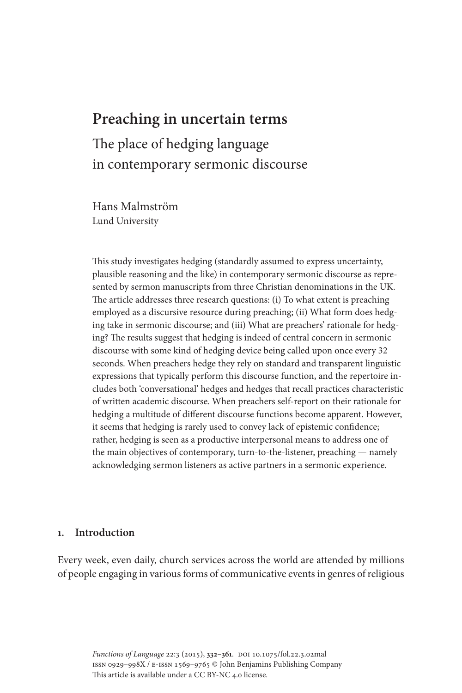# **Preaching in uncertain terms**

The place of hedging language in contemporary sermonic discourse

Hans Malmström Lund University

This study investigates hedging (standardly assumed to express uncertainty, plausible reasoning and the like) in contemporary sermonic discourse as represented by sermon manuscripts from three Christian denominations in the UK. The article addresses three research questions: (i) To what extent is preaching employed as a discursive resource during preaching; (ii) What form does hedging take in sermonic discourse; and (iii) What are preachers' rationale for hedging? The results suggest that hedging is indeed of central concern in sermonic discourse with some kind of hedging device being called upon once every 32 seconds. When preachers hedge they rely on standard and transparent linguistic expressions that typically perform this discourse function, and the repertoire includes both 'conversational' hedges and hedges that recall practices characteristic of written academic discourse. When preachers self-report on their rationale for hedging a multitude of different discourse functions become apparent. However, it seems that hedging is rarely used to convey lack of epistemic confidence; rather, hedging is seen as a productive interpersonal means to address one of the main objectives of contemporary, turn-to-the-listener, preaching — namely acknowledging sermon listeners as active partners in a sermonic experience.

#### **1. Introduction**

Every week, even daily, church services across the world are attended by millions of people engaging in various forms of communicative events in genres of religious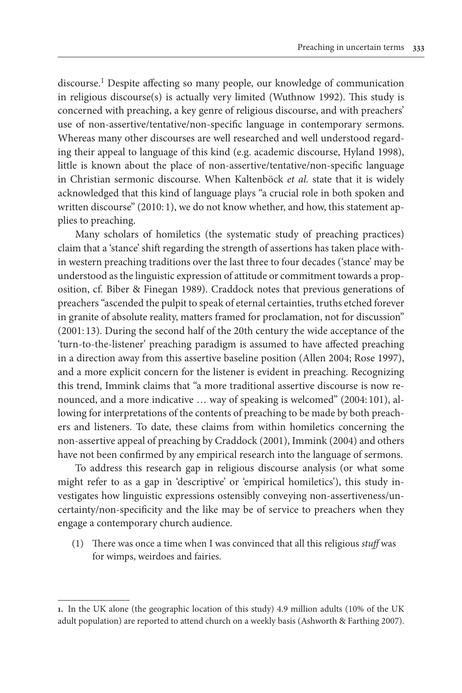discourse.1 Despite affecting so many people, our knowledge of communication in religious discourse(s) is actually very limited (Wuthnow 1992). This study is concerned with preaching, a key genre of religious discourse, and with preachers' use of non-assertive/tentative/non-specific language in contemporary sermons. Whereas many other discourses are well researched and well understood regarding their appeal to language of this kind (e.g. academic discourse, Hyland 1998), little is known about the place of non-assertive/tentative/non-specific language in Christian sermonic discourse. When Kaltenböck *et al.* state that it is widely acknowledged that this kind of language plays "a crucial role in both spoken and written discourse" (2010: 1), we do not know whether, and how, this statement applies to preaching.

Many scholars of homiletics (the systematic study of preaching practices) claim that a 'stance' shift regarding the strength of assertions has taken place within western preaching traditions over the last three to four decades ('stance' may be understood as the linguistic expression of attitude or commitment towards a proposition, cf. Biber & Finegan 1989). Craddock notes that previous generations of preachers "ascended the pulpit to speak of eternal certainties, truths etched forever in granite of absolute reality, matters framed for proclamation, not for discussion" (2001: 13). During the second half of the 20th century the wide acceptance of the 'turn-to-the-listener' preaching paradigm is assumed to have affected preaching in a direction away from this assertive baseline position (Allen 2004; Rose 1997), and a more explicit concern for the listener is evident in preaching. Recognizing this trend, Immink claims that "a more traditional assertive discourse is now renounced, and a more indicative … way of speaking is welcomed" (2004: 101), allowing for interpretations of the contents of preaching to be made by both preachers and listeners. To date, these claims from within homiletics concerning the non-assertive appeal of preaching by Craddock (2001), Immink (2004) and others have not been confirmed by any empirical research into the language of sermons.

To address this research gap in religious discourse analysis (or what some might refer to as a gap in 'descriptive' or 'empirical homiletics'), this study investigates how linguistic expressions ostensibly conveying non-assertiveness/uncertainty/non-specificity and the like may be of service to preachers when they engage a contemporary church audience.

(1) There was once a time when I was convinced that all this religious *stuff* was for wimps, weirdoes and fairies.

**<sup>1.</sup>** In the UK alone (the geographic location of this study) 4.9 million adults (10% of the UK adult population) are reported to attend church on a weekly basis (Ashworth & Farthing 2007).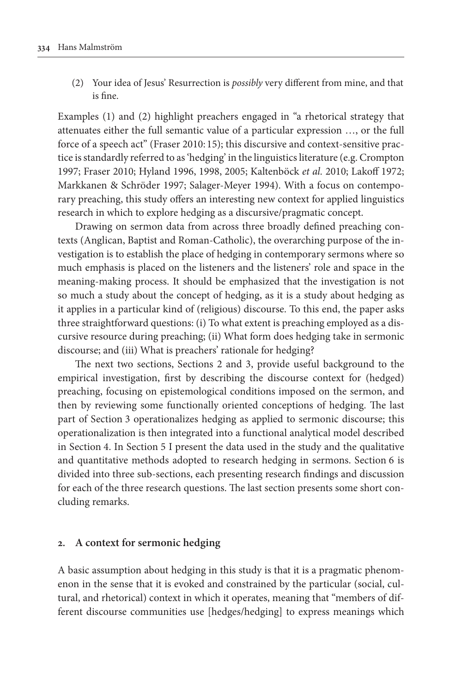(2) Your idea of Jesus' Resurrection is *possibly* very different from mine, and that is fine.

Examples (1) and (2) highlight preachers engaged in "a rhetorical strategy that attenuates either the full semantic value of a particular expression …, or the full force of a speech act" (Fraser 2010: 15); this discursive and context-sensitive practice is standardly referred to as 'hedging' in the linguistics literature (e.g. Crompton 1997; Fraser 2010; Hyland 1996, 1998, 2005; Kaltenböck *et al.* 2010; Lakoff 1972; Markkanen & Schröder 1997; Salager-Meyer 1994). With a focus on contemporary preaching, this study offers an interesting new context for applied linguistics research in which to explore hedging as a discursive/pragmatic concept.

Drawing on sermon data from across three broadly defined preaching contexts (Anglican, Baptist and Roman-Catholic), the overarching purpose of the investigation is to establish the place of hedging in contemporary sermons where so much emphasis is placed on the listeners and the listeners' role and space in the meaning-making process. It should be emphasized that the investigation is not so much a study about the concept of hedging, as it is a study about hedging as it applies in a particular kind of (religious) discourse. To this end, the paper asks three straightforward questions: (i) To what extent is preaching employed as a discursive resource during preaching; (ii) What form does hedging take in sermonic discourse; and (iii) What is preachers' rationale for hedging?

The next two sections, Sections 2 and 3, provide useful background to the empirical investigation, first by describing the discourse context for (hedged) preaching, focusing on epistemological conditions imposed on the sermon, and then by reviewing some functionally oriented conceptions of hedging. The last part of Section 3 operationalizes hedging as applied to sermonic discourse; this operationalization is then integrated into a functional analytical model described in Section 4. In Section 5 I present the data used in the study and the qualitative and quantitative methods adopted to research hedging in sermons. Section 6 is divided into three sub-sections, each presenting research findings and discussion for each of the three research questions. The last section presents some short concluding remarks.

#### **2. A context for sermonic hedging**

A basic assumption about hedging in this study is that it is a pragmatic phenomenon in the sense that it is evoked and constrained by the particular (social, cultural, and rhetorical) context in which it operates, meaning that "members of different discourse communities use [hedges/hedging] to express meanings which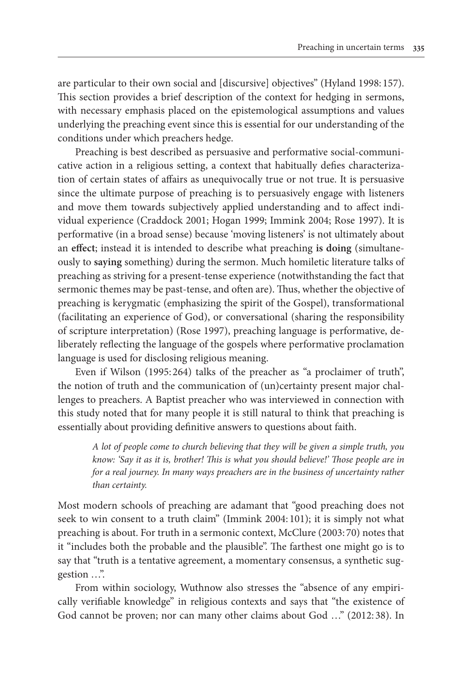are particular to their own social and [discursive] objectives" (Hyland 1998: 157). This section provides a brief description of the context for hedging in sermons, with necessary emphasis placed on the epistemological assumptions and values underlying the preaching event since this is essential for our understanding of the conditions under which preachers hedge.

Preaching is best described as persuasive and performative social-communicative action in a religious setting, a context that habitually defies characterization of certain states of affairs as unequivocally true or not true. It is persuasive since the ultimate purpose of preaching is to persuasively engage with listeners and move them towards subjectively applied understanding and to affect individual experience (Craddock 2001; Hogan 1999; Immink 2004; Rose 1997). It is performative (in a broad sense) because 'moving listeners' is not ultimately about an **effect**; instead it is intended to describe what preaching **is doing** (simultaneously to **saying** something) during the sermon. Much homiletic literature talks of preaching as striving for a present-tense experience (notwithstanding the fact that sermonic themes may be past-tense, and often are). Thus, whether the objective of preaching is kerygmatic (emphasizing the spirit of the Gospel), transformational (facilitating an experience of God), or conversational (sharing the responsibility of scripture interpretation) (Rose 1997), preaching language is performative, deliberately reflecting the language of the gospels where performative proclamation language is used for disclosing religious meaning.

Even if Wilson (1995:264) talks of the preacher as "a proclaimer of truth", the notion of truth and the communication of (un)certainty present major challenges to preachers. A Baptist preacher who was interviewed in connection with this study noted that for many people it is still natural to think that preaching is essentially about providing definitive answers to questions about faith.

*A lot of people come to church believing that they will be given a simple truth, you know: 'Say it as it is, brother! This is what you should believe!' Those people are in for a real journey. In many ways preachers are in the business of uncertainty rather than certainty.*

Most modern schools of preaching are adamant that "good preaching does not seek to win consent to a truth claim" (Immink 2004: 101); it is simply not what preaching is about. For truth in a sermonic context, McClure (2003: 70) notes that it "includes both the probable and the plausible". The farthest one might go is to say that "truth is a tentative agreement, a momentary consensus, a synthetic suggestion …".

From within sociology, Wuthnow also stresses the "absence of any empirically verifiable knowledge" in religious contexts and says that "the existence of God cannot be proven; nor can many other claims about God …" (2012: 38). In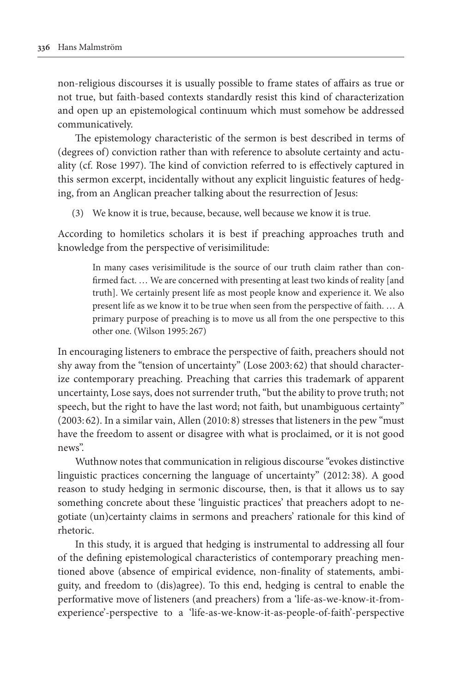non-religious discourses it is usually possible to frame states of affairs as true or not true, but faith-based contexts standardly resist this kind of characterization and open up an epistemological continuum which must somehow be addressed communicatively.

The epistemology characteristic of the sermon is best described in terms of (degrees of) conviction rather than with reference to absolute certainty and actuality (cf. Rose 1997). The kind of conviction referred to is effectively captured in this sermon excerpt, incidentally without any explicit linguistic features of hedging, from an Anglican preacher talking about the resurrection of Jesus:

(3) We know it is true, because, because, well because we know it is true.

According to homiletics scholars it is best if preaching approaches truth and knowledge from the perspective of verisimilitude:

In many cases verisimilitude is the source of our truth claim rather than confirmed fact. … We are concerned with presenting at least two kinds of reality [and truth]. We certainly present life as most people know and experience it. We also present life as we know it to be true when seen from the perspective of faith. … A primary purpose of preaching is to move us all from the one perspective to this other one. (Wilson 1995: 267)

In encouraging listeners to embrace the perspective of faith, preachers should not shy away from the "tension of uncertainty" (Lose 2003: 62) that should characterize contemporary preaching. Preaching that carries this trademark of apparent uncertainty, Lose says, does not surrender truth, "but the ability to prove truth; not speech, but the right to have the last word; not faith, but unambiguous certainty" (2003: 62). In a similar vain, Allen (2010: 8) stresses that listeners in the pew "must have the freedom to assent or disagree with what is proclaimed, or it is not good news".

Wuthnow notes that communication in religious discourse "evokes distinctive linguistic practices concerning the language of uncertainty" (2012: 38). A good reason to study hedging in sermonic discourse, then, is that it allows us to say something concrete about these 'linguistic practices' that preachers adopt to negotiate (un)certainty claims in sermons and preachers' rationale for this kind of rhetoric.

In this study, it is argued that hedging is instrumental to addressing all four of the defining epistemological characteristics of contemporary preaching mentioned above (absence of empirical evidence, non-finality of statements, ambiguity, and freedom to (dis)agree). To this end, hedging is central to enable the performative move of listeners (and preachers) from a 'life-as-we-know-it-fromexperience'-perspective to a 'life-as-we-know-it-as-people-of-faith'-perspective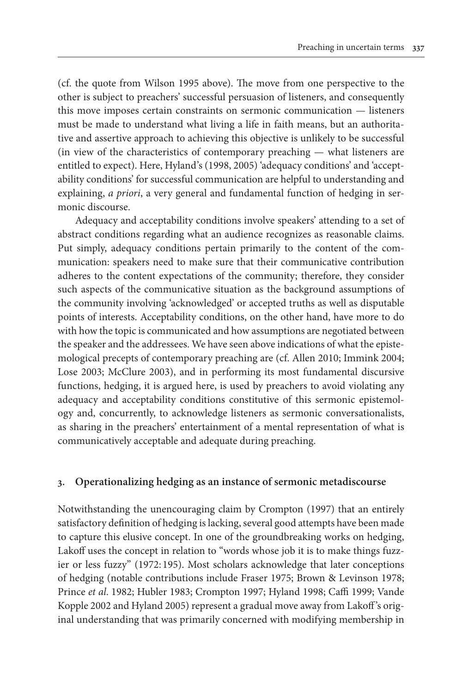(cf. the quote from Wilson 1995 above). The move from one perspective to the other is subject to preachers' successful persuasion of listeners, and consequently this move imposes certain constraints on sermonic communication — listeners must be made to understand what living a life in faith means, but an authoritative and assertive approach to achieving this objective is unlikely to be successful (in view of the characteristics of contemporary preaching — what listeners are entitled to expect). Here, Hyland's (1998, 2005) 'adequacy conditions' and 'acceptability conditions' for successful communication are helpful to understanding and explaining, *a priori*, a very general and fundamental function of hedging in sermonic discourse.

Adequacy and acceptability conditions involve speakers' attending to a set of abstract conditions regarding what an audience recognizes as reasonable claims. Put simply, adequacy conditions pertain primarily to the content of the communication: speakers need to make sure that their communicative contribution adheres to the content expectations of the community; therefore, they consider such aspects of the communicative situation as the background assumptions of the community involving 'acknowledged' or accepted truths as well as disputable points of interests. Acceptability conditions, on the other hand, have more to do with how the topic is communicated and how assumptions are negotiated between the speaker and the addressees. We have seen above indications of what the epistemological precepts of contemporary preaching are (cf. Allen 2010; Immink 2004; Lose 2003; McClure 2003), and in performing its most fundamental discursive functions, hedging, it is argued here, is used by preachers to avoid violating any adequacy and acceptability conditions constitutive of this sermonic epistemology and, concurrently, to acknowledge listeners as sermonic conversationalists, as sharing in the preachers' entertainment of a mental representation of what is communicatively acceptable and adequate during preaching.

#### **3. Operationalizing hedging as an instance of sermonic metadiscourse**

Notwithstanding the unencouraging claim by Crompton (1997) that an entirely satisfactory definition of hedging is lacking, several good attempts have been made to capture this elusive concept. In one of the groundbreaking works on hedging, Lakoff uses the concept in relation to "words whose job it is to make things fuzzier or less fuzzy" (1972: 195). Most scholars acknowledge that later conceptions of hedging (notable contributions include Fraser 1975; Brown & Levinson 1978; Prince *et al*. 1982; Hubler 1983; Crompton 1997; Hyland 1998; Caffi 1999; Vande Kopple 2002 and Hyland 2005) represent a gradual move away from Lakoff 's original understanding that was primarily concerned with modifying membership in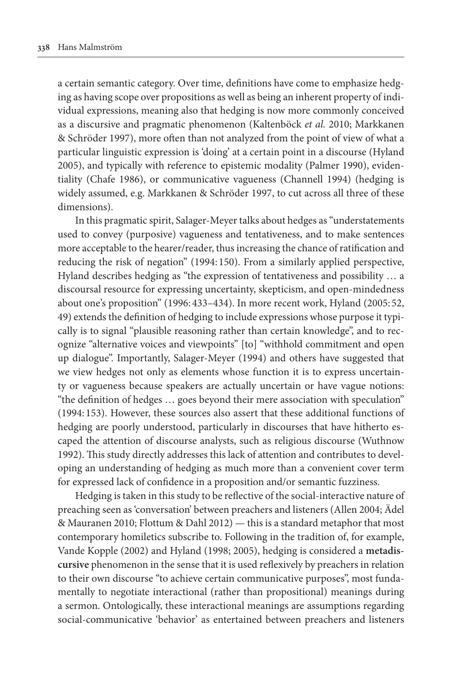a certain semantic category. Over time, definitions have come to emphasize hedging as having scope over propositions as well as being an inherent property of individual expressions, meaning also that hedging is now more commonly conceived as a discursive and pragmatic phenomenon (Kaltenböck *et al.* 2010; Markkanen & Schröder 1997), more often than not analyzed from the point of view of what a particular linguistic expression is 'doing' at a certain point in a discourse (Hyland 2005), and typically with reference to epistemic modality (Palmer 1990), evidentiality (Chafe 1986), or communicative vagueness (Channell 1994) (hedging is widely assumed, e.g. Markkanen & Schröder 1997, to cut across all three of these dimensions).

In this pragmatic spirit, Salager-Meyer talks about hedges as "understatements used to convey (purposive) vagueness and tentativeness, and to make sentences more acceptable to the hearer/reader, thus increasing the chance of ratification and reducing the risk of negation" (1994: 150). From a similarly applied perspective, Hyland describes hedging as "the expression of tentativeness and possibility … a discoursal resource for expressing uncertainty, skepticism, and open-mindedness about one's proposition" (1996: 433–434). In more recent work, Hyland (2005: 52, 49) extends the definition of hedging to include expressions whose purpose it typically is to signal "plausible reasoning rather than certain knowledge", and to recognize "alternative voices and viewpoints" [to] "withhold commitment and open up dialogue". Importantly, Salager-Meyer (1994) and others have suggested that we view hedges not only as elements whose function it is to express uncertainty or vagueness because speakers are actually uncertain or have vague notions: "the definition of hedges … goes beyond their mere association with speculation" (1994: 153). However, these sources also assert that these additional functions of hedging are poorly understood, particularly in discourses that have hitherto escaped the attention of discourse analysts, such as religious discourse (Wuthnow 1992). This study directly addresses this lack of attention and contributes to developing an understanding of hedging as much more than a convenient cover term for expressed lack of confidence in a proposition and/or semantic fuzziness.

Hedging is taken in this study to be reflective of the social-interactive nature of preaching seen as 'conversation' between preachers and listeners (Allen 2004; Ädel & Mauranen 2010; Flottum & Dahl 2012) — this is a standard metaphor that most contemporary homiletics subscribe to. Following in the tradition of, for example, Vande Kopple (2002) and Hyland (1998; 2005), hedging is considered a **metadiscursive** phenomenon in the sense that it is used reflexively by preachers in relation to their own discourse "to achieve certain communicative purposes", most fundamentally to negotiate interactional (rather than propositional) meanings during a sermon. Ontologically, these interactional meanings are assumptions regarding social-communicative 'behavior' as entertained between preachers and listeners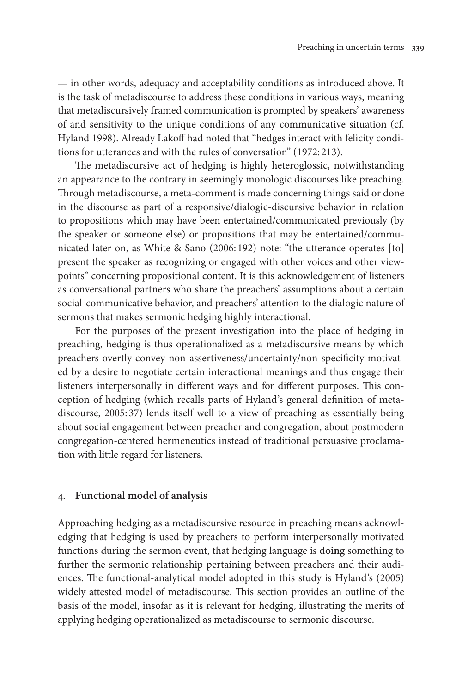— in other words, adequacy and acceptability conditions as introduced above. It is the task of metadiscourse to address these conditions in various ways, meaning that metadiscursively framed communication is prompted by speakers' awareness of and sensitivity to the unique conditions of any communicative situation (cf. Hyland 1998). Already Lakoff had noted that "hedges interact with felicity conditions for utterances and with the rules of conversation" (1972: 213).

The metadiscursive act of hedging is highly heteroglossic, notwithstanding an appearance to the contrary in seemingly monologic discourses like preaching. Through metadiscourse, a meta-comment is made concerning things said or done in the discourse as part of a responsive/dialogic-discursive behavior in relation to propositions which may have been entertained/communicated previously (by the speaker or someone else) or propositions that may be entertained/communicated later on, as White & Sano (2006: 192) note: "the utterance operates [to] present the speaker as recognizing or engaged with other voices and other viewpoints" concerning propositional content. It is this acknowledgement of listeners as conversational partners who share the preachers' assumptions about a certain social-communicative behavior, and preachers' attention to the dialogic nature of sermons that makes sermonic hedging highly interactional.

For the purposes of the present investigation into the place of hedging in preaching, hedging is thus operationalized as a metadiscursive means by which preachers overtly convey non-assertiveness/uncertainty/non-specificity motivated by a desire to negotiate certain interactional meanings and thus engage their listeners interpersonally in different ways and for different purposes. This conception of hedging (which recalls parts of Hyland's general definition of metadiscourse, 2005: 37) lends itself well to a view of preaching as essentially being about social engagement between preacher and congregation, about postmodern congregation-centered hermeneutics instead of traditional persuasive proclamation with little regard for listeners.

#### **4. Functional model of analysis**

Approaching hedging as a metadiscursive resource in preaching means acknowledging that hedging is used by preachers to perform interpersonally motivated functions during the sermon event, that hedging language is **doing** something to further the sermonic relationship pertaining between preachers and their audiences. The functional-analytical model adopted in this study is Hyland's (2005) widely attested model of metadiscourse. This section provides an outline of the basis of the model, insofar as it is relevant for hedging, illustrating the merits of applying hedging operationalized as metadiscourse to sermonic discourse.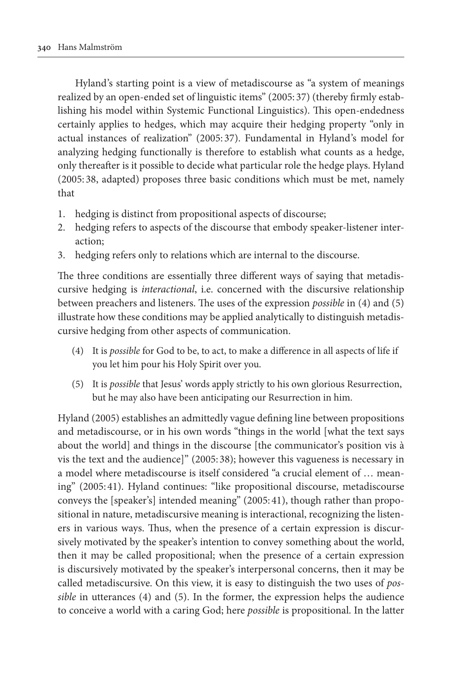Hyland's starting point is a view of metadiscourse as "a system of meanings realized by an open-ended set of linguistic items" (2005: 37) (thereby firmly establishing his model within Systemic Functional Linguistics). This open-endedness certainly applies to hedges, which may acquire their hedging property "only in actual instances of realization" (2005: 37). Fundamental in Hyland's model for analyzing hedging functionally is therefore to establish what counts as a hedge, only thereafter is it possible to decide what particular role the hedge plays. Hyland (2005: 38, adapted) proposes three basic conditions which must be met, namely that

- 1. hedging is distinct from propositional aspects of discourse;
- 2. hedging refers to aspects of the discourse that embody speaker-listener interaction;
- 3. hedging refers only to relations which are internal to the discourse.

The three conditions are essentially three different ways of saying that metadiscursive hedging is *interactional*, i.e. concerned with the discursive relationship between preachers and listeners. The uses of the expression *possible* in (4) and (5) illustrate how these conditions may be applied analytically to distinguish metadiscursive hedging from other aspects of communication.

- (4) It is *possible* for God to be, to act, to make a difference in all aspects of life if you let him pour his Holy Spirit over you.
- (5) It is *possible* that Jesus' words apply strictly to his own glorious Resurrection, but he may also have been anticipating our Resurrection in him.

Hyland (2005) establishes an admittedly vague defining line between propositions and metadiscourse, or in his own words "things in the world [what the text says about the world] and things in the discourse [the communicator's position vis à vis the text and the audience]" (2005: 38); however this vagueness is necessary in a model where metadiscourse is itself considered "a crucial element of … meaning" (2005: 41). Hyland continues: "like propositional discourse, metadiscourse conveys the [speaker's] intended meaning" (2005: 41), though rather than propositional in nature, metadiscursive meaning is interactional, recognizing the listeners in various ways. Thus, when the presence of a certain expression is discursively motivated by the speaker's intention to convey something about the world, then it may be called propositional; when the presence of a certain expression is discursively motivated by the speaker's interpersonal concerns, then it may be called metadiscursive. On this view, it is easy to distinguish the two uses of *possible* in utterances (4) and (5). In the former, the expression helps the audience to conceive a world with a caring God; here *possible* is propositional. In the latter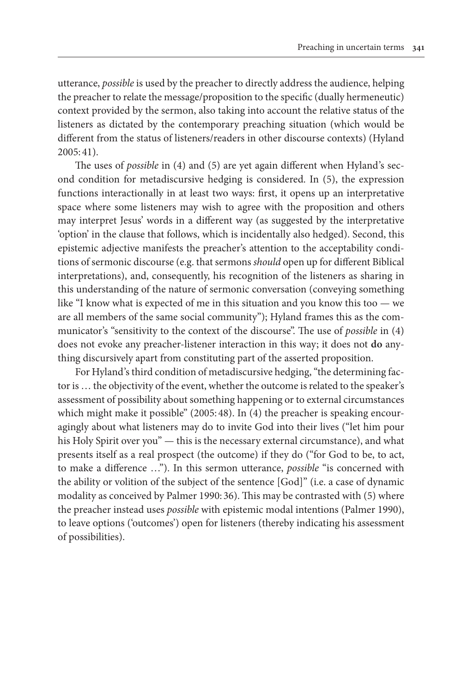utterance, *possible* is used by the preacher to directly address the audience, helping the preacher to relate the message/proposition to the specific (dually hermeneutic) context provided by the sermon, also taking into account the relative status of the listeners as dictated by the contemporary preaching situation (which would be different from the status of listeners/readers in other discourse contexts) (Hyland 2005: 41).

The uses of *possible* in (4) and (5) are yet again different when Hyland's second condition for metadiscursive hedging is considered. In (5), the expression functions interactionally in at least two ways: first, it opens up an interpretative space where some listeners may wish to agree with the proposition and others may interpret Jesus' words in a different way (as suggested by the interpretative 'option' in the clause that follows, which is incidentally also hedged). Second, this epistemic adjective manifests the preacher's attention to the acceptability conditions of sermonic discourse (e.g. that sermons *should* open up for different Biblical interpretations), and, consequently, his recognition of the listeners as sharing in this understanding of the nature of sermonic conversation (conveying something like "I know what is expected of me in this situation and you know this too — we are all members of the same social community"); Hyland frames this as the communicator's "sensitivity to the context of the discourse". The use of *possible* in (4) does not evoke any preacher-listener interaction in this way; it does not **do** anything discursively apart from constituting part of the asserted proposition.

For Hyland's third condition of metadiscursive hedging, "the determining factor is … the objectivity of the event, whether the outcome is related to the speaker's assessment of possibility about something happening or to external circumstances which might make it possible" (2005: 48). In (4) the preacher is speaking encouragingly about what listeners may do to invite God into their lives ("let him pour his Holy Spirit over you" — this is the necessary external circumstance), and what presents itself as a real prospect (the outcome) if they do ("for God to be, to act, to make a difference …"). In this sermon utterance, *possible* "is concerned with the ability or volition of the subject of the sentence [God]" (i.e. a case of dynamic modality as conceived by Palmer 1990: 36). This may be contrasted with (5) where the preacher instead uses *possible* with epistemic modal intentions (Palmer 1990), to leave options ('outcomes') open for listeners (thereby indicating his assessment of possibilities).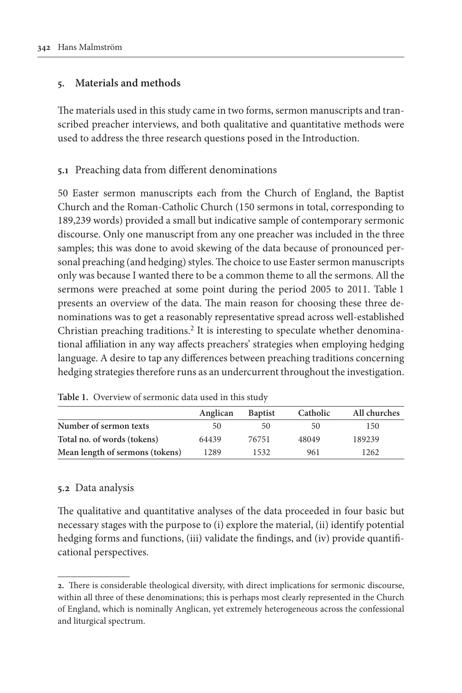# **5. Materials and methods**

The materials used in this study came in two forms, sermon manuscripts and transcribed preacher interviews, and both qualitative and quantitative methods were used to address the three research questions posed in the Introduction.

# **5.1** Preaching data from different denominations

50 Easter sermon manuscripts each from the Church of England, the Baptist Church and the Roman-Catholic Church (150 sermons in total, corresponding to 189,239 words) provided a small but indicative sample of contemporary sermonic discourse. Only one manuscript from any one preacher was included in the three samples; this was done to avoid skewing of the data because of pronounced personal preaching (and hedging) styles. The choice to use Easter sermon manuscripts only was because I wanted there to be a common theme to all the sermons. All the sermons were preached at some point during the period 2005 to 2011. Table 1 presents an overview of the data. The main reason for choosing these three denominations was to get a reasonably representative spread across well-established Christian preaching traditions.2 It is interesting to speculate whether denominational affiliation in any way affects preachers' strategies when employing hedging language. A desire to tap any differences between preaching traditions concerning hedging strategies therefore runs as an undercurrent throughout the investigation.

|                                 | Anglican | <b>Baptist</b> | Catholic | All churches |
|---------------------------------|----------|----------------|----------|--------------|
| Number of sermon texts          | 50       | 50             | 50       | 150          |
| Total no. of words (tokens)     | 64439    | 76751          | 48049    | 189239       |
| Mean length of sermons (tokens) | 1289     | 1532           | 961      | 1262         |

**Table 1.** Overview of sermonic data used in this study

# **5.2** Data analysis

The qualitative and quantitative analyses of the data proceeded in four basic but necessary stages with the purpose to (i) explore the material, (ii) identify potential hedging forms and functions, (iii) validate the findings, and (iv) provide quantificational perspectives.

**<sup>2.</sup>** There is considerable theological diversity, with direct implications for sermonic discourse, within all three of these denominations; this is perhaps most clearly represented in the Church of England, which is nominally Anglican, yet extremely heterogeneous across the confessional and liturgical spectrum.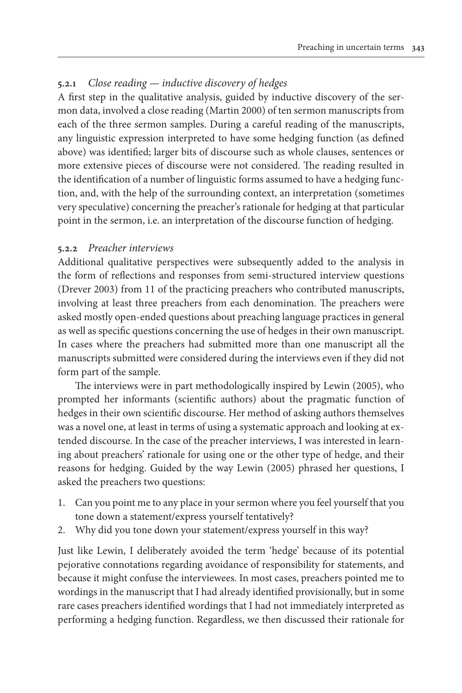# **5.2.1** *Close reading — inductive discovery of hedges*

A first step in the qualitative analysis, guided by inductive discovery of the sermon data, involved a close reading (Martin 2000) of ten sermon manuscripts from each of the three sermon samples. During a careful reading of the manuscripts, any linguistic expression interpreted to have some hedging function (as defined above) was identified; larger bits of discourse such as whole clauses, sentences or more extensive pieces of discourse were not considered. The reading resulted in the identification of a number of linguistic forms assumed to have a hedging function, and, with the help of the surrounding context, an interpretation (sometimes very speculative) concerning the preacher's rationale for hedging at that particular point in the sermon, i.e. an interpretation of the discourse function of hedging.

### **5.2.2** *Preacher interviews*

Additional qualitative perspectives were subsequently added to the analysis in the form of reflections and responses from semi-structured interview questions (Drever 2003) from 11 of the practicing preachers who contributed manuscripts, involving at least three preachers from each denomination. The preachers were asked mostly open-ended questions about preaching language practices in general as well as specific questions concerning the use of hedges in their own manuscript. In cases where the preachers had submitted more than one manuscript all the manuscripts submitted were considered during the interviews even if they did not form part of the sample.

The interviews were in part methodologically inspired by Lewin (2005), who prompted her informants (scientific authors) about the pragmatic function of hedges in their own scientific discourse. Her method of asking authors themselves was a novel one, at least in terms of using a systematic approach and looking at extended discourse. In the case of the preacher interviews, I was interested in learning about preachers' rationale for using one or the other type of hedge, and their reasons for hedging. Guided by the way Lewin (2005) phrased her questions, I asked the preachers two questions:

- 1. Can you point me to any place in your sermon where you feel yourself that you tone down a statement/express yourself tentatively?
- 2. Why did you tone down your statement/express yourself in this way?

Just like Lewin, I deliberately avoided the term 'hedge' because of its potential pejorative connotations regarding avoidance of responsibility for statements, and because it might confuse the interviewees. In most cases, preachers pointed me to wordings in the manuscript that I had already identified provisionally, but in some rare cases preachers identified wordings that I had not immediately interpreted as performing a hedging function. Regardless, we then discussed their rationale for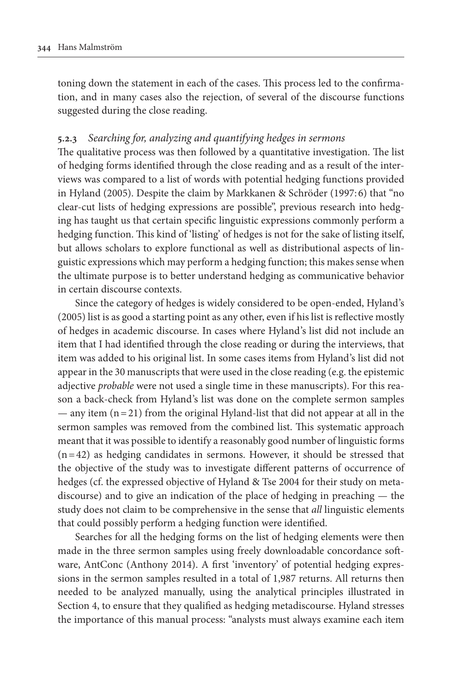toning down the statement in each of the cases. This process led to the confirmation, and in many cases also the rejection, of several of the discourse functions suggested during the close reading.

### **5.2.3** *Searching for, analyzing and quantifying hedges in sermons*

The qualitative process was then followed by a quantitative investigation. The list of hedging forms identified through the close reading and as a result of the interviews was compared to a list of words with potential hedging functions provided in Hyland (2005). Despite the claim by Markkanen & Schröder (1997: 6) that "no clear-cut lists of hedging expressions are possible", previous research into hedging has taught us that certain specific linguistic expressions commonly perform a hedging function. This kind of 'listing' of hedges is not for the sake of listing itself, but allows scholars to explore functional as well as distributional aspects of linguistic expressions which may perform a hedging function; this makes sense when the ultimate purpose is to better understand hedging as communicative behavior in certain discourse contexts.

Since the category of hedges is widely considered to be open-ended, Hyland's (2005) list is as good a starting point as any other, even if his list is reflective mostly of hedges in academic discourse. In cases where Hyland's list did not include an item that I had identified through the close reading or during the interviews, that item was added to his original list. In some cases items from Hyland's list did not appear in the 30 manuscripts that were used in the close reading (e.g. the epistemic adjective *probable* were not used a single time in these manuscripts). For this reason a back-check from Hyland's list was done on the complete sermon samples — any item  $(n=21)$  from the original Hyland-list that did not appear at all in the sermon samples was removed from the combined list. This systematic approach meant that it was possible to identify a reasonably good number of linguistic forms  $(n=42)$  as hedging candidates in sermons. However, it should be stressed that the objective of the study was to investigate different patterns of occurrence of hedges (cf. the expressed objective of Hyland & Tse 2004 for their study on metadiscourse) and to give an indication of the place of hedging in preaching — the study does not claim to be comprehensive in the sense that *all* linguistic elements that could possibly perform a hedging function were identified.

Searches for all the hedging forms on the list of hedging elements were then made in the three sermon samples using freely downloadable concordance software, AntConc (Anthony 2014). A first 'inventory' of potential hedging expressions in the sermon samples resulted in a total of 1,987 returns. All returns then needed to be analyzed manually, using the analytical principles illustrated in Section 4, to ensure that they qualified as hedging metadiscourse. Hyland stresses the importance of this manual process: "analysts must always examine each item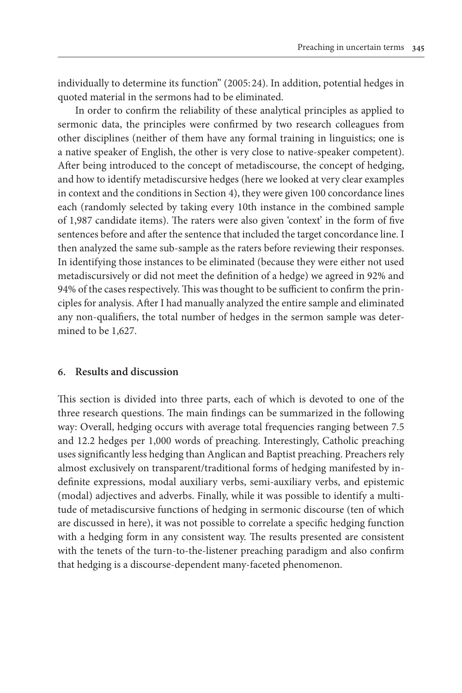individually to determine its function" (2005: 24). In addition, potential hedges in quoted material in the sermons had to be eliminated.

In order to confirm the reliability of these analytical principles as applied to sermonic data, the principles were confirmed by two research colleagues from other disciplines (neither of them have any formal training in linguistics; one is a native speaker of English, the other is very close to native-speaker competent). After being introduced to the concept of metadiscourse, the concept of hedging, and how to identify metadiscursive hedges (here we looked at very clear examples in context and the conditions in Section 4), they were given 100 concordance lines each (randomly selected by taking every 10th instance in the combined sample of 1,987 candidate items). The raters were also given 'context' in the form of five sentences before and after the sentence that included the target concordance line. I then analyzed the same sub-sample as the raters before reviewing their responses. In identifying those instances to be eliminated (because they were either not used metadiscursively or did not meet the definition of a hedge) we agreed in 92% and 94% of the cases respectively. This was thought to be sufficient to confirm the principles for analysis. After I had manually analyzed the entire sample and eliminated any non-qualifiers, the total number of hedges in the sermon sample was determined to be 1,627.

#### **6. Results and discussion**

This section is divided into three parts, each of which is devoted to one of the three research questions. The main findings can be summarized in the following way: Overall, hedging occurs with average total frequencies ranging between 7.5 and 12.2 hedges per 1,000 words of preaching. Interestingly, Catholic preaching uses significantly less hedging than Anglican and Baptist preaching. Preachers rely almost exclusively on transparent/traditional forms of hedging manifested by indefinite expressions, modal auxiliary verbs, semi-auxiliary verbs, and epistemic (modal) adjectives and adverbs. Finally, while it was possible to identify a multitude of metadiscursive functions of hedging in sermonic discourse (ten of which are discussed in here), it was not possible to correlate a specific hedging function with a hedging form in any consistent way. The results presented are consistent with the tenets of the turn-to-the-listener preaching paradigm and also confirm that hedging is a discourse-dependent many-faceted phenomenon.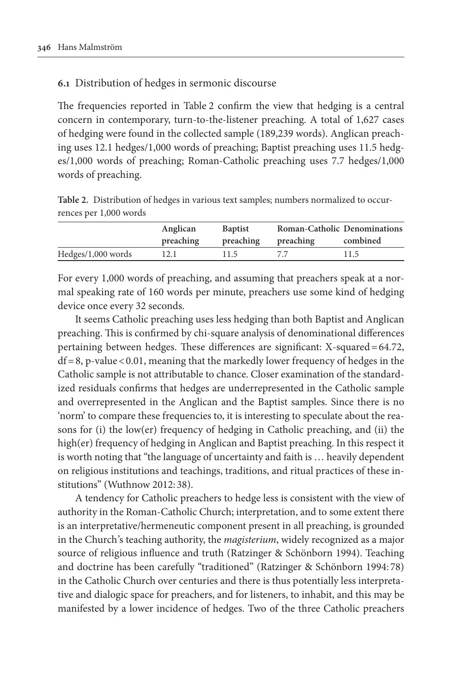# **6.1** Distribution of hedges in sermonic discourse

The frequencies reported in Table 2 confirm the view that hedging is a central concern in contemporary, turn-to-the-listener preaching. A total of 1,627 cases of hedging were found in the collected sample (189,239 words). Anglican preaching uses 12.1 hedges/1,000 words of preaching; Baptist preaching uses 11.5 hedges/1,000 words of preaching; Roman-Catholic preaching uses 7.7 hedges/1,000 words of preaching.

**Table 2.** Distribution of hedges in various text samples; numbers normalized to occurrences per 1,000 words

|                    | Anglican  | <b>Baptist</b> | Roman-Catholic Denominations |          |
|--------------------|-----------|----------------|------------------------------|----------|
|                    | preaching | preaching      | preaching                    | combined |
| Hedges/1,000 words | 12.1      | 11.5           |                              | 11.5     |

For every 1,000 words of preaching, and assuming that preachers speak at a normal speaking rate of 160 words per minute, preachers use some kind of hedging device once every 32 seconds.

It seems Catholic preaching uses less hedging than both Baptist and Anglican preaching. This is confirmed by chi-square analysis of denominational differences pertaining between hedges. These differences are significant: X-squared=64.72,  $df = 8$ , p-value < 0.01, meaning that the markedly lower frequency of hedges in the Catholic sample is not attributable to chance. Closer examination of the standardized residuals confirms that hedges are underrepresented in the Catholic sample and overrepresented in the Anglican and the Baptist samples. Since there is no 'norm' to compare these frequencies to, it is interesting to speculate about the reasons for (i) the low(er) frequency of hedging in Catholic preaching, and (ii) the high(er) frequency of hedging in Anglican and Baptist preaching. In this respect it is worth noting that "the language of uncertainty and faith is … heavily dependent on religious institutions and teachings, traditions, and ritual practices of these institutions" (Wuthnow 2012: 38).

A tendency for Catholic preachers to hedge less is consistent with the view of authority in the Roman-Catholic Church; interpretation, and to some extent there is an interpretative/hermeneutic component present in all preaching, is grounded in the Church's teaching authority, the *magisterium*, widely recognized as a major source of religious influence and truth (Ratzinger & Schönborn 1994). Teaching and doctrine has been carefully "traditioned" (Ratzinger & Schönborn 1994: 78) in the Catholic Church over centuries and there is thus potentially less interpretative and dialogic space for preachers, and for listeners, to inhabit, and this may be manifested by a lower incidence of hedges. Two of the three Catholic preachers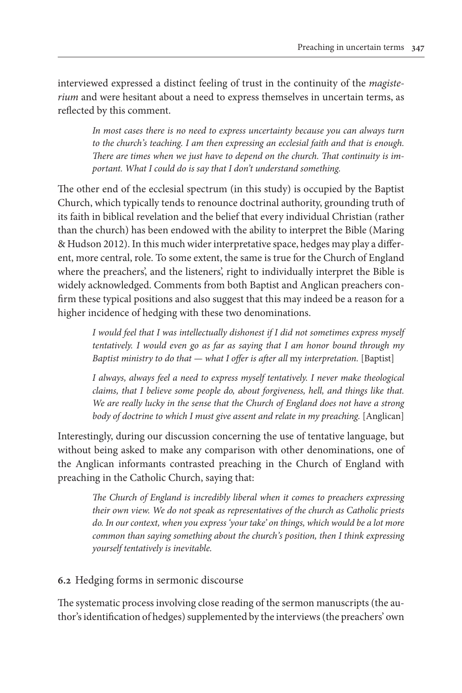interviewed expressed a distinct feeling of trust in the continuity of the *magisterium* and were hesitant about a need to express themselves in uncertain terms, as reflected by this comment.

*In most cases there is no need to express uncertainty because you can always turn to the church's teaching. I am then expressing an ecclesial faith and that is enough. There are times when we just have to depend on the church. That continuity is important. What I could do is say that I don't understand something.*

The other end of the ecclesial spectrum (in this study) is occupied by the Baptist Church, which typically tends to renounce doctrinal authority, grounding truth of its faith in biblical revelation and the belief that every individual Christian (rather than the church) has been endowed with the ability to interpret the Bible (Maring & Hudson 2012). In this much wider interpretative space, hedges may play a different, more central, role. To some extent, the same is true for the Church of England where the preachers', and the listeners', right to individually interpret the Bible is widely acknowledged. Comments from both Baptist and Anglican preachers confirm these typical positions and also suggest that this may indeed be a reason for a higher incidence of hedging with these two denominations.

*I would feel that I was intellectually dishonest if I did not sometimes express myself tentatively. I would even go as far as saying that I am honor bound through my Baptist ministry to do that — what I offer is after all* my *interpretation.* [Baptist]

*I always, always feel a need to express myself tentatively. I never make theological claims, that I believe some people do, about forgiveness, hell, and things like that. We are really lucky in the sense that the Church of England does not have a strong body of doctrine to which I must give assent and relate in my preaching.* [Anglican]

Interestingly, during our discussion concerning the use of tentative language, but without being asked to make any comparison with other denominations, one of the Anglican informants contrasted preaching in the Church of England with preaching in the Catholic Church, saying that:

*The Church of England is incredibly liberal when it comes to preachers expressing their own view. We do not speak as representatives of the church as Catholic priests do. In our context, when you express 'your take' on things, which would be a lot more common than saying something about the church's position, then I think expressing yourself tentatively is inevitable.*

# **6.2** Hedging forms in sermonic discourse

The systematic process involving close reading of the sermon manuscripts (the author's identification of hedges) supplemented by the interviews (the preachers' own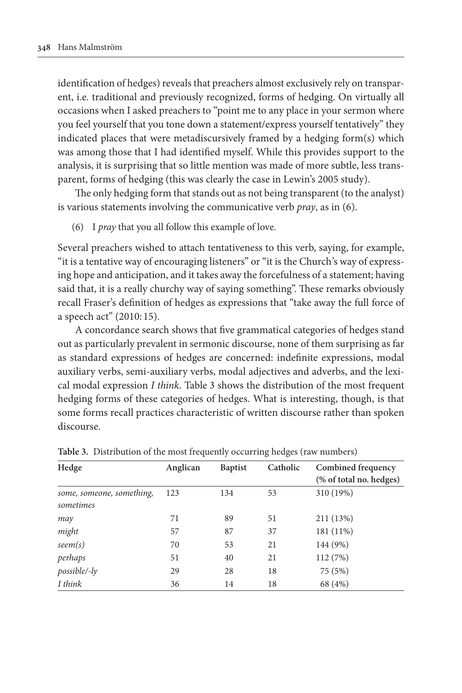identification of hedges) reveals that preachers almost exclusively rely on transparent, i.e. traditional and previously recognized, forms of hedging. On virtually all occasions when I asked preachers to "point me to any place in your sermon where you feel yourself that you tone down a statement/express yourself tentatively" they indicated places that were metadiscursively framed by a hedging form(s) which was among those that I had identified myself. While this provides support to the analysis, it is surprising that so little mention was made of more subtle, less transparent, forms of hedging (this was clearly the case in Lewin's 2005 study).

The only hedging form that stands out as not being transparent (to the analyst) is various statements involving the communicative verb *pray*, as in (6).

(6) I *pray* that you all follow this example of love.

Several preachers wished to attach tentativeness to this verb, saying, for example, "it is a tentative way of encouraging listeners" or "it is the Church's way of expressing hope and anticipation, and it takes away the forcefulness of a statement; having said that, it is a really churchy way of saying something". These remarks obviously recall Fraser's definition of hedges as expressions that "take away the full force of a speech act" (2010: 15).

A concordance search shows that five grammatical categories of hedges stand out as particularly prevalent in sermonic discourse, none of them surprising as far as standard expressions of hedges are concerned: indefinite expressions, modal auxiliary verbs, semi-auxiliary verbs, modal adjectives and adverbs, and the lexical modal expression *I think*. Table 3 shows the distribution of the most frequent hedging forms of these categories of hedges. What is interesting, though, is that some forms recall practices characteristic of written discourse rather than spoken discourse.

| Hedge                                  | Anglican | <b>Baptist</b> | Catholic | Combined frequency<br>(% of total no. hedges) |
|----------------------------------------|----------|----------------|----------|-----------------------------------------------|
| some, someone, something,<br>sometimes | 123      | 134            | 53       | 310 (19%)                                     |
| may                                    | 71       | 89             | 51       | 211 (13%)                                     |
| might                                  | 57       | 87             | 37       | 181 (11%)                                     |
| seem(s)                                | 70       | 53             | 21       | 144 (9%)                                      |
| perhaps                                | 51       | 40             | 21       | 112 (7%)                                      |
| possible/-ly                           | 29       | 28             | 18       | 75 (5%)                                       |
| I think                                | 36       | 14             | 18       | 68 (4%)                                       |

**Table 3.** Distribution of the most frequently occurring hedges (raw numbers)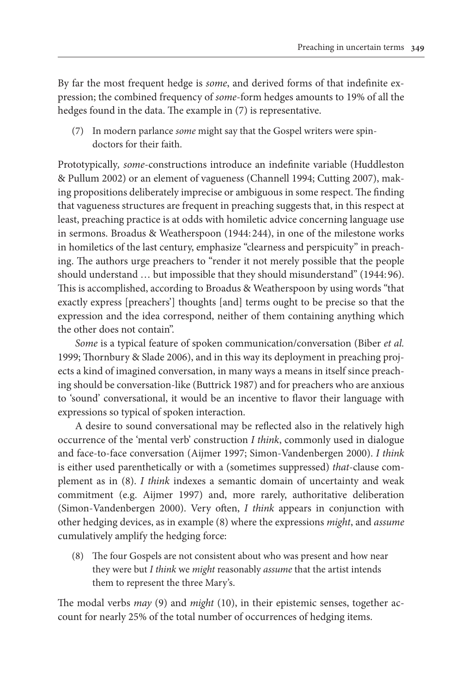By far the most frequent hedge is *some*, and derived forms of that indefinite expression; the combined frequency of *some*-form hedges amounts to 19% of all the hedges found in the data. The example in (7) is representative.

(7) In modern parlance *some* might say that the Gospel writers were spindoctors for their faith.

Prototypically*, some*-constructions introduce an indefinite variable (Huddleston & Pullum 2002) or an element of vagueness (Channell 1994; Cutting 2007), making propositions deliberately imprecise or ambiguous in some respect. The finding that vagueness structures are frequent in preaching suggests that, in this respect at least, preaching practice is at odds with homiletic advice concerning language use in sermons. Broadus & Weatherspoon (1944: 244), in one of the milestone works in homiletics of the last century, emphasize "clearness and perspicuity" in preaching. The authors urge preachers to "render it not merely possible that the people should understand … but impossible that they should misunderstand" (1944: 96). This is accomplished, according to Broadus & Weatherspoon by using words "that exactly express [preachers'] thoughts [and] terms ought to be precise so that the expression and the idea correspond, neither of them containing anything which the other does not contain".

*Some* is a typical feature of spoken communication/conversation (Biber *et al.* 1999; Thornbury & Slade 2006), and in this way its deployment in preaching projects a kind of imagined conversation, in many ways a means in itself since preaching should be conversation-like (Buttrick 1987) and for preachers who are anxious to 'sound' conversational, it would be an incentive to flavor their language with expressions so typical of spoken interaction.

A desire to sound conversational may be reflected also in the relatively high occurrence of the 'mental verb' construction *I think*, commonly used in dialogue and face-to-face conversation (Aijmer 1997; Simon-Vandenbergen 2000). *I think* is either used parenthetically or with a (sometimes suppressed) *that*-clause complement as in (8). *I think* indexes a semantic domain of uncertainty and weak commitment (e.g. Aijmer 1997) and, more rarely, authoritative deliberation (Simon-Vandenbergen 2000). Very often, *I think* appears in conjunction with other hedging devices, as in example (8) where the expressions *might*, and *assume* cumulatively amplify the hedging force:

(8) The four Gospels are not consistent about who was present and how near they were but *I think* we *might* reasonably *assume* that the artist intends them to represent the three Mary's.

The modal verbs *may* (9) and *might* (10), in their epistemic senses, together account for nearly 25% of the total number of occurrences of hedging items.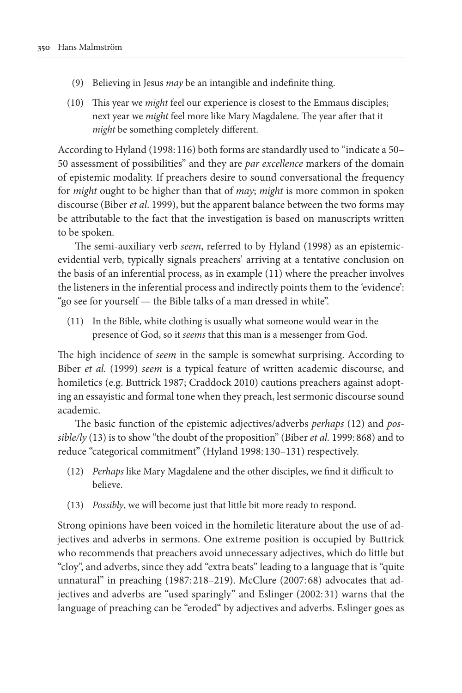- (9) Believing in Jesus *may* be an intangible and indefinite thing.
- (10) This year we *might* feel our experience is closest to the Emmaus disciples; next year we *might* feel more like Mary Magdalene. The year after that it *might* be something completely different.

According to Hyland (1998: 116) both forms are standardly used to "indicate a 50– 50 assessment of possibilities" and they are *par excellence* markers of the domain of epistemic modality. If preachers desire to sound conversational the frequency for *might* ought to be higher than that of *may*; *might* is more common in spoken discourse (Biber *et al*. 1999), but the apparent balance between the two forms may be attributable to the fact that the investigation is based on manuscripts written to be spoken.

The semi-auxiliary verb *seem*, referred to by Hyland (1998) as an epistemicevidential verb, typically signals preachers' arriving at a tentative conclusion on the basis of an inferential process, as in example (11) where the preacher involves the listeners in the inferential process and indirectly points them to the 'evidence': "go see for yourself — the Bible talks of a man dressed in white".

(11) In the Bible, white clothing is usually what someone would wear in the presence of God, so it *seems* that this man is a messenger from God.

The high incidence of *seem* in the sample is somewhat surprising. According to Biber *et al.* (1999) *seem* is a typical feature of written academic discourse, and homiletics (e.g. Buttrick 1987; Craddock 2010) cautions preachers against adopting an essayistic and formal tone when they preach, lest sermonic discourse sound academic.

The basic function of the epistemic adjectives/adverbs *perhaps* (12) and *possible/ly* (13) is to show "the doubt of the proposition" (Biber *et al.* 1999: 868) and to reduce "categorical commitment" (Hyland 1998: 130–131) respectively.

- (12) *Perhaps* like Mary Magdalene and the other disciples, we find it difficult to believe.
- (13) *Possibly*, we will become just that little bit more ready to respond.

Strong opinions have been voiced in the homiletic literature about the use of adjectives and adverbs in sermons. One extreme position is occupied by Buttrick who recommends that preachers avoid unnecessary adjectives, which do little but "cloy", and adverbs, since they add "extra beats" leading to a language that is "quite unnatural" in preaching (1987: 218–219). McClure (2007: 68) advocates that adjectives and adverbs are "used sparingly" and Eslinger (2002: 31) warns that the language of preaching can be "eroded" by adjectives and adverbs. Eslinger goes as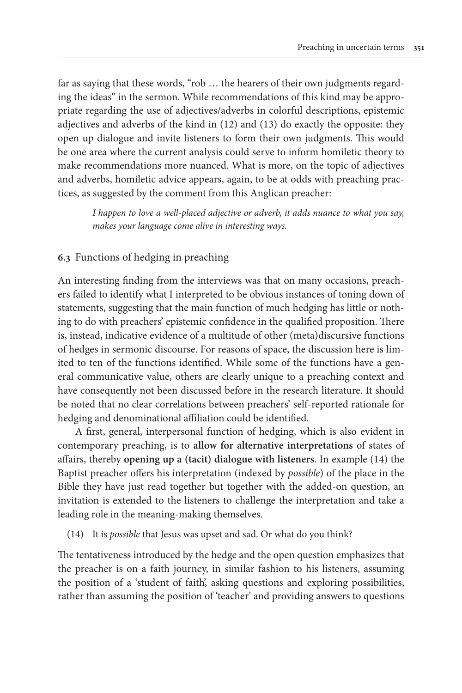far as saying that these words, "rob … the hearers of their own judgments regarding the ideas" in the sermon. While recommendations of this kind may be appropriate regarding the use of adjectives/adverbs in colorful descriptions, epistemic adjectives and adverbs of the kind in (12) and (13) do exactly the opposite: they open up dialogue and invite listeners to form their own judgments. This would be one area where the current analysis could serve to inform homiletic theory to make recommendations more nuanced. What is more, on the topic of adjectives and adverbs, homiletic advice appears, again, to be at odds with preaching practices, as suggested by the comment from this Anglican preacher:

*I happen to love a well-placed adjective or adverb, it adds nuance to what you say, makes your language come alive in interesting ways.*

#### **6.3** Functions of hedging in preaching

An interesting finding from the interviews was that on many occasions, preachers failed to identify what I interpreted to be obvious instances of toning down of statements, suggesting that the main function of much hedging has little or nothing to do with preachers' epistemic confidence in the qualified proposition. There is, instead, indicative evidence of a multitude of other (meta)discursive functions of hedges in sermonic discourse. For reasons of space, the discussion here is limited to ten of the functions identified. While some of the functions have a general communicative value, others are clearly unique to a preaching context and have consequently not been discussed before in the research literature. It should be noted that no clear correlations between preachers' self-reported rationale for hedging and denominational affiliation could be identified.

A first, general, interpersonal function of hedging, which is also evident in contemporary preaching, is to **allow for alternative interpretations** of states of affairs, thereby **opening up a (tacit) dialogue with listeners**. In example (14) the Baptist preacher offers his interpretation (indexed by *possible*) of the place in the Bible they have just read together but together with the added-on question, an invitation is extended to the listeners to challenge the interpretation and take a leading role in the meaning-making themselves.

(14) It is *possible* that Jesus was upset and sad. Or what do you think?

The tentativeness introduced by the hedge and the open question emphasizes that the preacher is on a faith journey, in similar fashion to his listeners, assuming the position of a 'student of faith', asking questions and exploring possibilities, rather than assuming the position of 'teacher' and providing answers to questions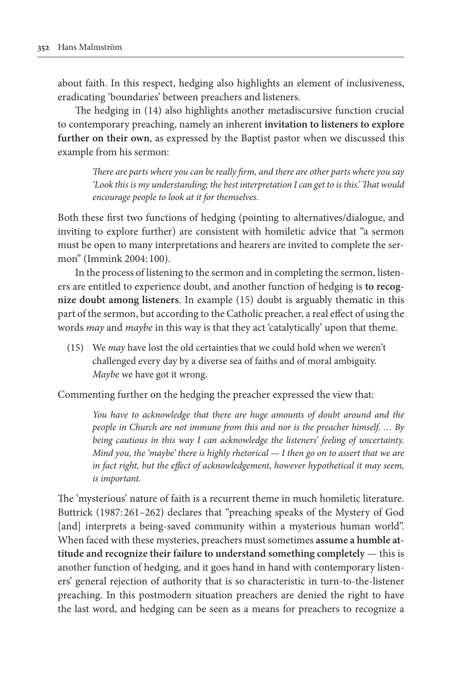about faith. In this respect, hedging also highlights an element of inclusiveness, eradicating 'boundaries' between preachers and listeners.

The hedging in (14) also highlights another metadiscursive function crucial to contemporary preaching, namely an inherent **invitation to listeners to explore further on their own**, as expressed by the Baptist pastor when we discussed this example from his sermon:

*There are parts where you can be really firm, and there are other parts where you say 'Look this is my understanding; the best interpretation I can get to is this.' That would encourage people to look at it for themselves.*

Both these first two functions of hedging (pointing to alternatives/dialogue, and inviting to explore further) are consistent with homiletic advice that "a sermon must be open to many interpretations and hearers are invited to complete the sermon" (Immink 2004: 100).

In the process of listening to the sermon and in completing the sermon, listeners are entitled to experience doubt, and another function of hedging is **to recognize doubt among listeners**. In example (15) doubt is arguably thematic in this part of the sermon, but according to the Catholic preacher, a real effect of using the words *may* and *maybe* in this way is that they act 'catalytically' upon that theme.

(15) We *may* have lost the old certainties that we could hold when we weren't challenged every day by a diverse sea of faiths and of moral ambiguity. *Maybe* we have got it wrong.

Commenting further on the hedging the preacher expressed the view that:

*You have to acknowledge that there are huge amounts of doubt around and the people in Church are not immune from this and nor is the preacher himself. … By being cautious in this way I can acknowledge the listeners' feeling of uncertainty. Mind you, the 'maybe' there is highly rhetorical — I then go on to assert that we are in fact right, but the effect of acknowledgement, however hypothetical it may seem, is important.*

The 'mysterious' nature of faith is a recurrent theme in much homiletic literature. Buttrick (1987: 261–262) declares that "preaching speaks of the Mystery of God [and] interprets a being-saved community within a mysterious human world". When faced with these mysteries, preachers must sometimes **assume a humble attitude and recognize their failure to understand something completely** — this is another function of hedging, and it goes hand in hand with contemporary listeners' general rejection of authority that is so characteristic in turn-to-the-listener preaching. In this postmodern situation preachers are denied the right to have the last word, and hedging can be seen as a means for preachers to recognize a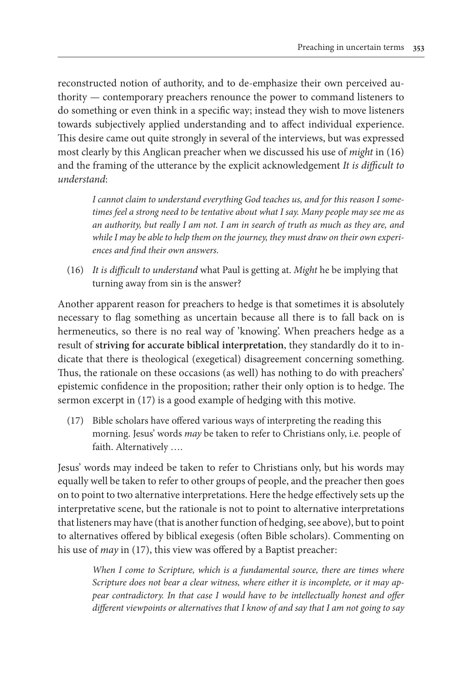reconstructed notion of authority, and to de-emphasize their own perceived authority — contemporary preachers renounce the power to command listeners to do something or even think in a specific way; instead they wish to move listeners towards subjectively applied understanding and to affect individual experience. This desire came out quite strongly in several of the interviews, but was expressed most clearly by this Anglican preacher when we discussed his use of *might* in (16) and the framing of the utterance by the explicit acknowledgement *It is difficult to understand*:

> *I cannot claim to understand everything God teaches us, and for this reason I sometimes feel a strong need to be tentative about what I say. Many people may see me as an authority, but really I am not. I am in search of truth as much as they are, and while I may be able to help them on the journey, they must draw on their own experiences and find their own answers.*

(16) *It is difficult to understand* what Paul is getting at. *Might* he be implying that turning away from sin is the answer?

Another apparent reason for preachers to hedge is that sometimes it is absolutely necessary to flag something as uncertain because all there is to fall back on is hermeneutics, so there is no real way of 'knowing'. When preachers hedge as a result of **striving for accurate biblical interpretation**, they standardly do it to indicate that there is theological (exegetical) disagreement concerning something. Thus, the rationale on these occasions (as well) has nothing to do with preachers' epistemic confidence in the proposition; rather their only option is to hedge. The sermon excerpt in (17) is a good example of hedging with this motive.

(17) Bible scholars have offered various ways of interpreting the reading this morning. Jesus' words *may* be taken to refer to Christians only, i.e. people of faith. Alternatively ….

Jesus' words may indeed be taken to refer to Christians only, but his words may equally well be taken to refer to other groups of people, and the preacher then goes on to point to two alternative interpretations. Here the hedge effectively sets up the interpretative scene, but the rationale is not to point to alternative interpretations that listeners may have (that is another function of hedging, see above), but to point to alternatives offered by biblical exegesis (often Bible scholars). Commenting on his use of *may* in (17), this view was offered by a Baptist preacher:

*When I come to Scripture, which is a fundamental source, there are times where Scripture does not bear a clear witness, where either it is incomplete, or it may appear contradictory. In that case I would have to be intellectually honest and offer different viewpoints or alternatives that I know of and say that I am not going to say*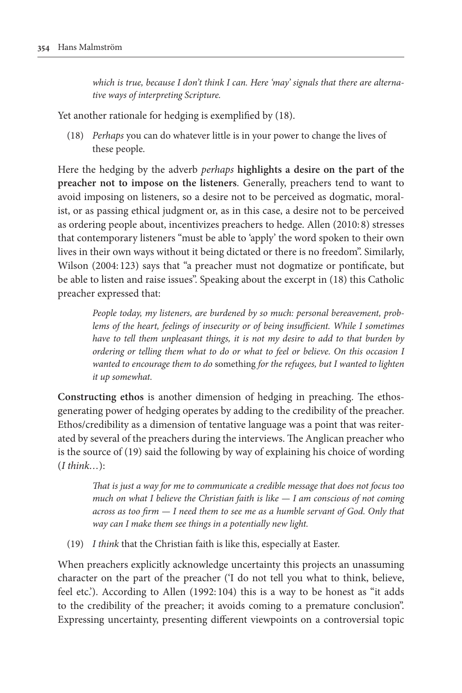*which is true, because I don't think I can. Here 'may' signals that there are alternative ways of interpreting Scripture.*

Yet another rationale for hedging is exemplified by (18).

(18) *Perhaps* you can do whatever little is in your power to change the lives of these people.

Here the hedging by the adverb *perhaps* **highlights a desire on the part of the preacher not to impose on the listeners**. Generally, preachers tend to want to avoid imposing on listeners, so a desire not to be perceived as dogmatic, moralist, or as passing ethical judgment or, as in this case, a desire not to be perceived as ordering people about, incentivizes preachers to hedge. Allen (2010: 8) stresses that contemporary listeners "must be able to 'apply' the word spoken to their own lives in their own ways without it being dictated or there is no freedom". Similarly, Wilson (2004: 123) says that "a preacher must not dogmatize or pontificate, but be able to listen and raise issues". Speaking about the excerpt in (18) this Catholic preacher expressed that:

*People today, my listeners, are burdened by so much: personal bereavement, problems of the heart, feelings of insecurity or of being insufficient. While I sometimes have to tell them unpleasant things, it is not my desire to add to that burden by ordering or telling them what to do or what to feel or believe. On this occasion I wanted to encourage them to do* something *for the refugees, but I wanted to lighten it up somewhat.*

**Constructing ethos** is another dimension of hedging in preaching. The ethosgenerating power of hedging operates by adding to the credibility of the preacher. Ethos/credibility as a dimension of tentative language was a point that was reiterated by several of the preachers during the interviews. The Anglican preacher who is the source of (19) said the following by way of explaining his choice of wording (*I think…*):

> *That is just a way for me to communicate a credible message that does not focus too much on what I believe the Christian faith is like — I am conscious of not coming across as too firm — I need them to see me as a humble servant of God. Only that way can I make them see things in a potentially new light.*

(19) *I think* that the Christian faith is like this, especially at Easter.

When preachers explicitly acknowledge uncertainty this projects an unassuming character on the part of the preacher ('I do not tell you what to think, believe, feel etc.'). According to Allen (1992: 104) this is a way to be honest as "it adds to the credibility of the preacher; it avoids coming to a premature conclusion". Expressing uncertainty, presenting different viewpoints on a controversial topic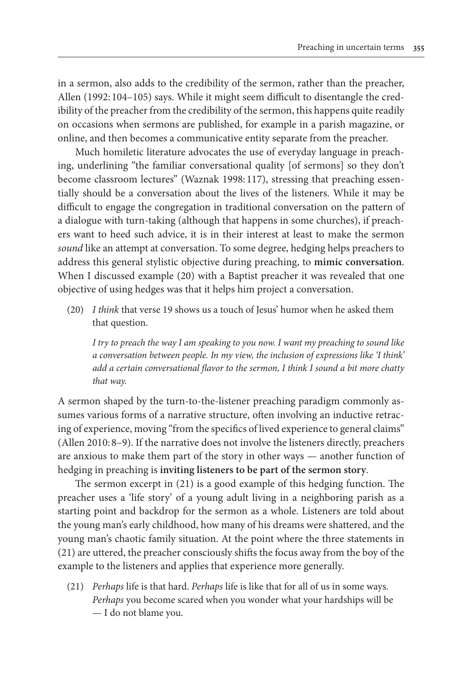in a sermon, also adds to the credibility of the sermon, rather than the preacher, Allen (1992: 104–105) says. While it might seem difficult to disentangle the credibility of the preacher from the credibility of the sermon, this happens quite readily on occasions when sermons are published, for example in a parish magazine, or online, and then becomes a communicative entity separate from the preacher.

Much homiletic literature advocates the use of everyday language in preaching, underlining "the familiar conversational quality [of sermons] so they don't become classroom lectures" (Waznak 1998: 117), stressing that preaching essentially should be a conversation about the lives of the listeners. While it may be difficult to engage the congregation in traditional conversation on the pattern of a dialogue with turn-taking (although that happens in some churches), if preachers want to heed such advice, it is in their interest at least to make the sermon *sound* like an attempt at conversation. To some degree, hedging helps preachers to address this general stylistic objective during preaching, to **mimic conversation**. When I discussed example (20) with a Baptist preacher it was revealed that one objective of using hedges was that it helps him project a conversation.

(20) *I think* that verse 19 shows us a touch of Jesus' humor when he asked them that question.

*I try to preach the way I am speaking to you now. I want my preaching to sound like a conversation between people. In my view, the inclusion of expressions like 'I think' add a certain conversational flavor to the sermon, I think I sound a bit more chatty that way.*

A sermon shaped by the turn-to-the-listener preaching paradigm commonly assumes various forms of a narrative structure, often involving an inductive retracing of experience, moving "from the specifics of lived experience to general claims" (Allen 2010: 8–9). If the narrative does not involve the listeners directly, preachers are anxious to make them part of the story in other ways — another function of hedging in preaching is **inviting listeners to be part of the sermon story**.

The sermon excerpt in (21) is a good example of this hedging function. The preacher uses a 'life story' of a young adult living in a neighboring parish as a starting point and backdrop for the sermon as a whole. Listeners are told about the young man's early childhood, how many of his dreams were shattered, and the young man's chaotic family situation. At the point where the three statements in (21) are uttered, the preacher consciously shifts the focus away from the boy of the example to the listeners and applies that experience more generally.

(21) *Perhaps* life is that hard. *Perhaps* life is like that for all of us in some ways. *Perhaps* you become scared when you wonder what your hardships will be — I do not blame you.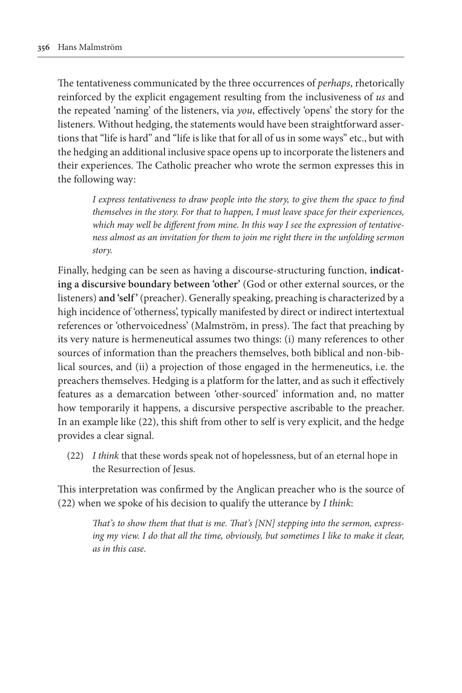The tentativeness communicated by the three occurrences of *perhaps*, rhetorically reinforced by the explicit engagement resulting from the inclusiveness of *us* and the repeated 'naming' of the listeners, via *you*, effectively 'opens' the story for the listeners. Without hedging, the statements would have been straightforward assertions that "life is hard" and "life is like that for all of us in some ways" etc., but with the hedging an additional inclusive space opens up to incorporate the listeners and their experiences. The Catholic preacher who wrote the sermon expresses this in the following way:

> *I express tentativeness to draw people into the story, to give them the space to find themselves in the story. For that to happen, I must leave space for their experiences, which may well be different from mine. In this way I see the expression of tentativeness almost as an invitation for them to join me right there in the unfolding sermon story.*

Finally, hedging can be seen as having a discourse-structuring function, **indicating a discursive boundary between 'other'** (God or other external sources, or the listeners) **and 'self '** (preacher). Generally speaking, preaching is characterized by a high incidence of 'otherness', typically manifested by direct or indirect intertextual references or 'othervoicedness' (Malmström, in press). The fact that preaching by its very nature is hermeneutical assumes two things: (i) many references to other sources of information than the preachers themselves, both biblical and non-biblical sources, and (ii) a projection of those engaged in the hermeneutics, i.e. the preachers themselves. Hedging is a platform for the latter, and as such it effectively features as a demarcation between 'other-sourced' information and, no matter how temporarily it happens, a discursive perspective ascribable to the preacher. In an example like (22), this shift from other to self is very explicit, and the hedge provides a clear signal.

(22) *I think* that these words speak not of hopelessness, but of an eternal hope in the Resurrection of Jesus.

This interpretation was confirmed by the Anglican preacher who is the source of (22) when we spoke of his decision to qualify the utterance by *I think*:

*That's to show them that that is me. That's [NN] stepping into the sermon, expressing my view. I do that all the time, obviously, but sometimes I like to make it clear, as in this case.*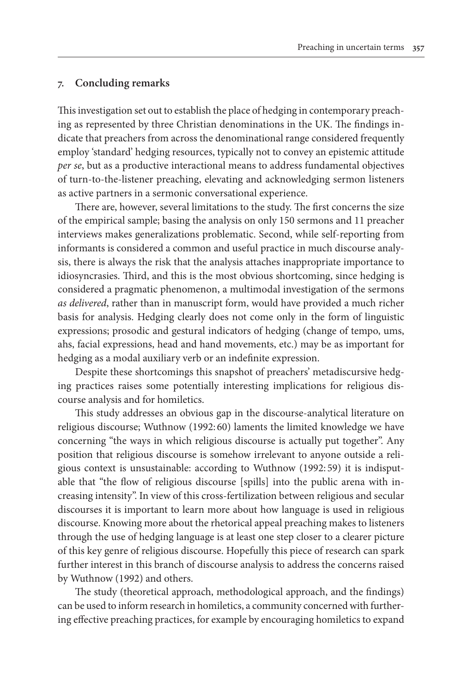### **7. Concluding remarks**

This investigation set out to establish the place of hedging in contemporary preaching as represented by three Christian denominations in the UK. The findings indicate that preachers from across the denominational range considered frequently employ 'standard' hedging resources, typically not to convey an epistemic attitude *per se*, but as a productive interactional means to address fundamental objectives of turn-to-the-listener preaching, elevating and acknowledging sermon listeners as active partners in a sermonic conversational experience.

There are, however, several limitations to the study. The first concerns the size of the empirical sample; basing the analysis on only 150 sermons and 11 preacher interviews makes generalizations problematic. Second, while self-reporting from informants is considered a common and useful practice in much discourse analysis, there is always the risk that the analysis attaches inappropriate importance to idiosyncrasies. Third, and this is the most obvious shortcoming, since hedging is considered a pragmatic phenomenon, a multimodal investigation of the sermons *as delivered*, rather than in manuscript form, would have provided a much richer basis for analysis. Hedging clearly does not come only in the form of linguistic expressions; prosodic and gestural indicators of hedging (change of tempo, ums, ahs, facial expressions, head and hand movements, etc.) may be as important for hedging as a modal auxiliary verb or an indefinite expression.

Despite these shortcomings this snapshot of preachers' metadiscursive hedging practices raises some potentially interesting implications for religious discourse analysis and for homiletics.

This study addresses an obvious gap in the discourse-analytical literature on religious discourse; Wuthnow (1992: 60) laments the limited knowledge we have concerning "the ways in which religious discourse is actually put together". Any position that religious discourse is somehow irrelevant to anyone outside a religious context is unsustainable: according to Wuthnow (1992: 59) it is indisputable that "the flow of religious discourse [spills] into the public arena with increasing intensity". In view of this cross-fertilization between religious and secular discourses it is important to learn more about how language is used in religious discourse. Knowing more about the rhetorical appeal preaching makes to listeners through the use of hedging language is at least one step closer to a clearer picture of this key genre of religious discourse. Hopefully this piece of research can spark further interest in this branch of discourse analysis to address the concerns raised by Wuthnow (1992) and others.

The study (theoretical approach, methodological approach, and the findings) can be used to inform research in homiletics, a community concerned with furthering effective preaching practices, for example by encouraging homiletics to expand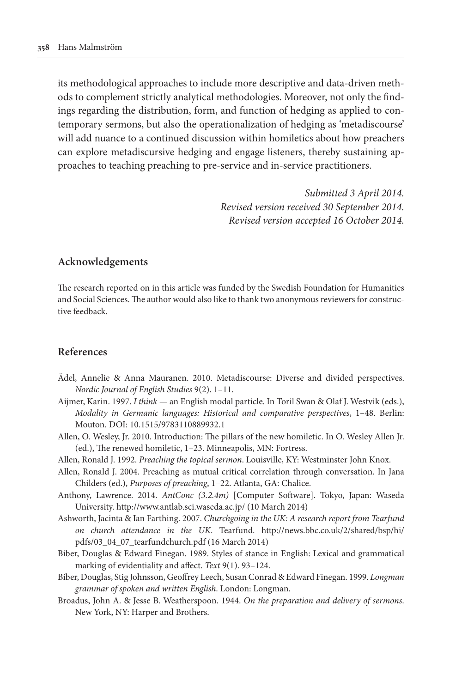its methodological approaches to include more descriptive and data-driven methods to complement strictly analytical methodologies. Moreover, not only the findings regarding the distribution, form, and function of hedging as applied to contemporary sermons, but also the operationalization of hedging as 'metadiscourse' will add nuance to a continued discussion within homiletics about how preachers can explore metadiscursive hedging and engage listeners, thereby sustaining approaches to teaching preaching to pre-service and in-service practitioners.

> *Submitted 3 April 2014. Revised version received 30 September 2014. Revised version accepted 16 October 2014.*

#### **Acknowledgements**

The research reported on in this article was funded by the Swedish Foundation for Humanities and Social Sciences. The author would also like to thank two anonymous reviewers for constructive feedback.

### **References**

- Ädel, Annelie & Anna Mauranen. 2010. Metadiscourse: Diverse and divided perspectives. *Nordic Journal of English Studies* 9(2). 1–11.
- Aijmer, Karin. 1997. *I think* an English modal particle. In Toril Swan & Olaf J. Westvik (eds.), *Modality in Germanic languages: Historical and comparative perspectives*, 1–48. Berlin: Mouton. DOI: [10.1515/9783110889932.1](http://dx.doi.org/10.1515/9783110889932.1)
- Allen, O. Wesley, Jr. 2010. Introduction: The pillars of the new homiletic. In O. Wesley Allen Jr. (ed.), The renewed homiletic, 1–23. Minneapolis, MN: Fortress.
- Allen, Ronald J. 1992. *Preaching the topical sermon*. Louisville, KY: Westminster John Knox.
- Allen, Ronald J. 2004. Preaching as mutual critical correlation through conversation. In Jana Childers (ed.), *Purposes of preaching*, 1–22. Atlanta, GA: Chalice.
- Anthony, Lawrence. 2014. *AntConc (3.2.4m)* [Computer Software]. Tokyo, Japan: Waseda University.<http://www.antlab.sci.waseda.ac.jp/> (10 March 2014)
- Ashworth, Jacinta & Ian Farthing. 2007. *Churchgoing in the UK: A research report from Tearfund on church attendance in the UK*. Tearfund. [http://news.bbc.co.uk/2/shared/bsp/hi/](http://news.bbc.co.uk/2/shared/bsp/hi/pdfs/03_04_07_tearfundchurch.pdf) [pdfs/03\\_04\\_07\\_tearfundchurch.pdf](http://news.bbc.co.uk/2/shared/bsp/hi/pdfs/03_04_07_tearfundchurch.pdf) (16 March 2014)
- Biber, Douglas & Edward Finegan. 1989. Styles of stance in English: Lexical and grammatical marking of evidentiality and affect. *Text* 9(1). 93–124.
- Biber, Douglas, Stig Johnsson, Geoffrey Leech, Susan Conrad & Edward Finegan. 1999. *Longman grammar of spoken and written English*. London: Longman.
- Broadus, John A. & Jesse B. Weatherspoon. 1944. *On the preparation and delivery of sermons*. New York, NY: Harper and Brothers.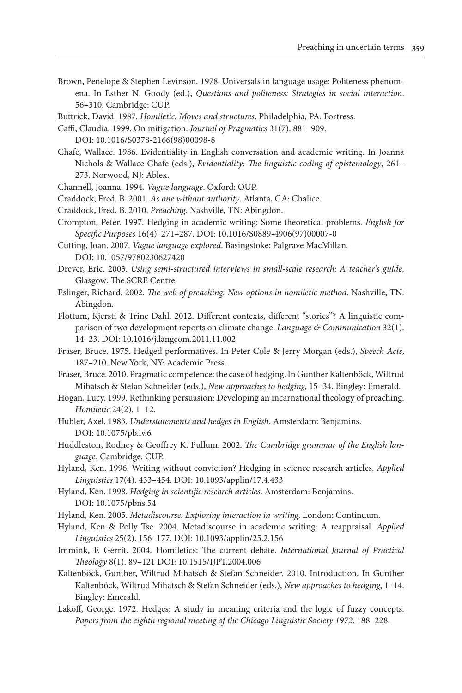Brown, Penelope & Stephen Levinson. 1978. Universals in language usage: Politeness phenomena. In Esther N. Goody (ed.), *Questions and politeness: Strategies in social interaction*. 56–310. Cambridge: CUP.

Buttrick, David. 1987. *Homiletic: Moves and structures*. Philadelphia, PA: Fortress.

- Caffi, Claudia. 1999. On mitigation. *Journal of Pragmatics* 31(7). 881–909.
- DOI: [10.1016/S0378-2166\(98\)00098-8](http://dx.doi.org/10.1016/S0378-2166(98)00098-8  )
- Chafe, Wallace. 1986. Evidentiality in English conversation and academic writing. In Joanna Nichols & Wallace Chafe (eds.), *Evidentiality: The linguistic coding of epistemology*, 261– 273. Norwood, NJ: Ablex.
- Channell, Joanna. 1994. *Vague language*. Oxford: OUP.
- Craddock, Fred. B. 2001. *As one without authority*. Atlanta, GA: Chalice.
- Craddock, Fred. B. 2010. *Preaching*. Nashville, TN: Abingdon.
- Crompton, Peter. 1997. Hedging in academic writing: Some theoretical problems. *English for Specific Purposes* 16(4). 271–287. DOI: [10.1016/S0889-4906\(97\)00007-0](http://dx.doi.org/10.1016/S0889-4906(97)00007-0   )
- Cutting, Joan. 2007. *Vague language explored*. Basingstoke: Palgrave MacMillan. DOI: [10.1057/9780230627420](http://dx.doi.org/10.1057/9780230627420)
- Drever, Eric. 2003. *Using semi-structured interviews in small-scale research: A teacher's guide*. Glasgow: The SCRE Centre.
- Eslinger, Richard. 2002. *The web of preaching: New options in homiletic method*. Nashville, TN: Abingdon.
- Flottum, Kjersti & Trine Dahl. 2012. Different contexts, different "stories"? A linguistic comparison of two development reports on climate change. *Language & Communication* 32(1). 14–23. DOI: [10.1016/j.langcom.2011.11.002](http://dx.doi.org/10.1016/j.langcom.2011.11.002)
- Fraser, Bruce. 1975. Hedged performatives. In Peter Cole & Jerry Morgan (eds.), *Speech Acts*, 187–210. New York, NY: Academic Press.
- Fraser, Bruce. 2010. Pragmatic competence: the case of hedging. In Gunther Kaltenböck, Wiltrud Mihatsch & Stefan Schneider (eds.), *New approaches to hedging*, 15–34. Bingley: Emerald.
- Hogan, Lucy. 1999. Rethinking persuasion: Developing an incarnational theology of preaching. *Homiletic* 24(2). 1–12.
- Hubler, Axel. 1983. *Understatements and hedges in English*. Amsterdam: Benjamins. DOI: [10.1075/pb.iv.6](http://dx.doi.org/10.1075/pb.iv.6)
- Huddleston, Rodney & Geoffrey K. Pullum. 2002. *The Cambridge grammar of the English language*. Cambridge: CUP.
- Hyland, Ken. 1996. Writing without conviction? Hedging in science research articles. *Applied Linguistics* 17(4). 433–454. DOI: [10.1093/applin/17.4.433](http://dx.doi.org/10.1093/applin/17.4.433)
- Hyland, Ken. 1998. *Hedging in scientific research articles*. Amsterdam: Benjamins. DOI: [10.1075/pbns.54](http://dx.doi.org/10.1075/pbns.54)
- Hyland, Ken. 2005. *Metadiscourse: Exploring interaction in writing*. London: Continuum.
- Hyland, Ken & Polly Tse. 2004. Metadiscourse in academic writing: A reappraisal. *Applied Linguistics* 25(2). 156–177. DOI: [10.1093/applin/25.2.156](http://dx.doi.org/10.1093/applin/25.2.156)
- Immink, F. Gerrit. 2004. Homiletics: The current debate. *International Journal of Practical Theology* 8(1). 89–121 DOI: [10.1515/IJPT.2004.006](http://dx.doi.org/10.1515/IJPT.2004.006)
- Kaltenböck, Gunther, Wiltrud Mihatsch & Stefan Schneider. 2010. Introduction. In Gunther Kaltenböck, Wiltrud Mihatsch & Stefan Schneider (eds.), *New approaches to hedging*, 1–14. Bingley: Emerald.
- Lakoff, George. 1972. Hedges: A study in meaning criteria and the logic of fuzzy concepts. *Papers from the eighth regional meeting of the Chicago Linguistic Society 1972*. 188–228.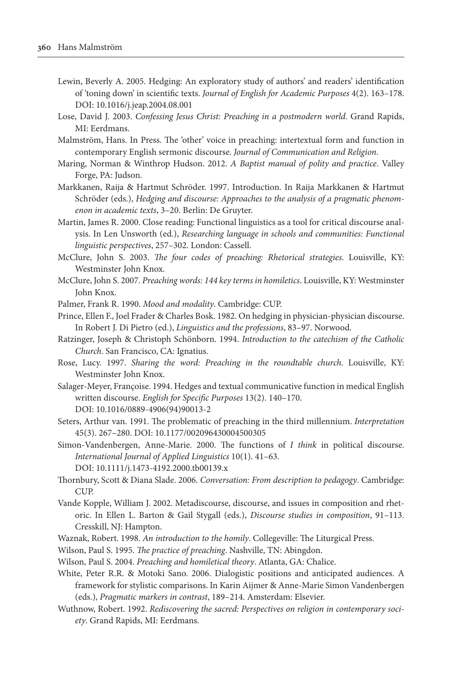- Lewin, Beverly A. 2005. Hedging: An exploratory study of authors' and readers' identification of 'toning down' in scientific texts. *Journal of English for Academic Purposes* 4(2). 163–178. DOI: [10.1016/j.jeap.2004.08.001](http://dx.doi.org/10.1016/j.jeap.2004.08.001)
- Lose, David J. 2003. *Confessing Jesus Christ: Preaching in a postmodern world*. Grand Rapids, MI: Eerdmans.
- Malmström, Hans. In Press. The 'other' voice in preaching: intertextual form and function in contemporary English sermonic discourse. *Journal of Communication and Religion*.
- Maring, Norman & Winthrop Hudson. 2012. *A Baptist manual of polity and practice*. Valley Forge, PA: Judson.
- Markkanen, Raija & Hartmut Schröder. 1997. Introduction. In Raija Markkanen & Hartmut Schröder (eds.), *Hedging and discourse: Approaches to the analysis of a pragmatic phenomenon in academic texts*, 3–20. Berlin: De Gruyter.
- Martin, James R. 2000. Close reading: Functional linguistics as a tool for critical discourse analysis. In Len Unsworth (ed.), *Researching language in schools and communities: Functional linguistic perspectives*, 257–302. London: Cassell.
- McClure, John S. 2003. *The four codes of preaching: Rhetorical strategies*. Louisville, KY: Westminster John Knox.
- McClure, John S. 2007. *Preaching words: 144 key terms in homiletics*. Louisville, KY: Westminster John Knox.
- Palmer, Frank R. 1990. *Mood and modality*. Cambridge: CUP.
- Prince, Ellen F., Joel Frader & Charles Bosk. 1982. On hedging in physician-physician discourse. In Robert J. Di Pietro (ed.), *Linguistics and the professions*, 83–97. Norwood.
- Ratzinger, Joseph & Christoph Schönborn. 1994. *Introduction to the catechism of the Catholic Church*. San Francisco, CA: Ignatius.
- Rose, Lucy. 1997. *Sharing the word: Preaching in the roundtable church*. Louisville, KY: Westminster John Knox.
- Salager-Meyer, Françoise. 1994. Hedges and textual communicative function in medical English written discourse. *English for Specific Purposes* 13(2). 140–170. DOI: [10.1016/0889-4906\(94\)90013-2](http://dx.doi.org/10.1016/0889-4906(94)90013-2   )
- Seters, Arthur van. 1991. The problematic of preaching in the third millennium. *Interpretation* 45(3). 267–280. DOI: [10.1177/002096430004500305](http://dx.doi.org/10.1177/002096430004500305)
- Simon-Vandenbergen, Anne-Marie. 2000. The functions of *I think* in political discourse. *International Journal of Applied Linguistics* 10(1). 41–63.

DOI: [10.1111/j.1473-4192.2000.tb00139.x](http://dx.doi.org/10.1111/j.1473-4192.2000.tb00139.x)

- Thornbury, Scott & Diana Slade. 2006. *Conversation: From description to pedagogy*. Cambridge: CUP.
- Vande Kopple, William J. 2002. Metadiscourse, discourse, and issues in composition and rhetoric. In Ellen L. Barton & Gail Stygall (eds.), *Discourse studies in composition*, 91–113. Cresskill, NJ: Hampton.
- Waznak, Robert. 1998. *An introduction to the homily*. Collegeville: The Liturgical Press.
- Wilson, Paul S. 1995. *The practice of preaching*. Nashville, TN: Abingdon.
- Wilson, Paul S. 2004. *Preaching and homiletical theory*. Atlanta, GA: Chalice.
- White, Peter R.R. & Motoki Sano. 2006. Dialogistic positions and anticipated audiences. A framework for stylistic comparisons. In Karin Aijmer & Anne-Marie Simon Vandenbergen (eds.), *Pragmatic markers in contrast*, 189–214. Amsterdam: Elsevier.
- Wuthnow, Robert. 1992. *Rediscovering the sacred: Perspectives on religion in contemporary society*. Grand Rapids, MI: Eerdmans.